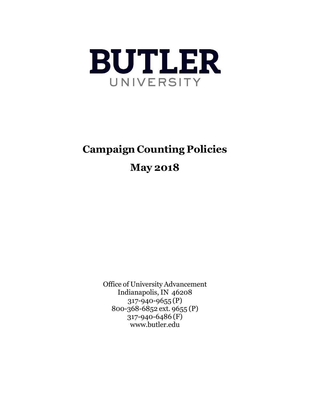

# **Campaign Counting Policies**

# **May 2018**

Office of University Advancement Indianapolis, IN 46208 317-940-9655 (P) 800-368-6852 ext. 9655 (P) 317-940-6486 (F) [www.butler.edu](http://www.butler.edu/)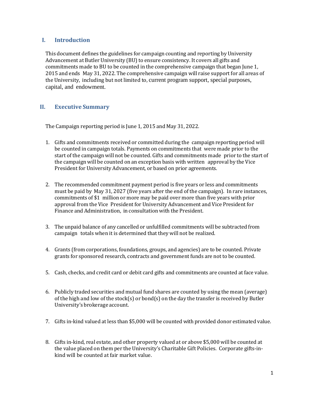#### **I. Introduction**

This document defines the guidelines for campaign counting and reporting by University Advancement at Butler University (BU) to ensure consistency. It covers all gifts and commitments made to BU to be counted in the comprehensive campaign that began June 1, 2015 and ends May 31, 2022. The comprehensive campaign will raise support for all areas of the University, including but not limited to, current program support, special purposes, capital, and endowment.

### **II. Executive Summary**

The Campaign reporting period is June 1, 2015 and May 31, 2022.

- 1. Gifts and commitments received or committed during the campaign reporting period will be counted in campaign totals. Payments on commitments that were made prior to the start of the campaign will not be counted. Gifts and commitments made prior to the start of the campaign will be counted on an exception basis with written approval by the Vice President for University Advancement, or based on prior agreements.
- 2. The recommended commitment payment period is five years or less and commitments must be paid by May 31, 2027 (five years after the end of the campaign). In rare instances, commitments of \$1 million or more may be paid over more than five years with prior approval from the Vice President for University Advancement and Vice President for Finance and Administration, in consultation with the President.
- 3. The unpaid balance of any cancelled or unfulfilled commitments will be subtracted from campaign totals when it is determined that they will not be realized.
- 4. Grants (from corporations, foundations, groups, and agencies) are to be counted. Private grants for sponsored research, contracts and government funds are not to be counted.
- 5. Cash, checks, and credit card or debit card gifts and commitments are counted at face value.
- 6. Publicly traded securities and mutual fund shares are counted by using the mean (average) of the high and low of the stock(s) or bond(s) on the day the transfer is received by Butler University's brokerage account.
- 7. Gifts in-kind valued at less than \$5,000 will be counted with provided donor estimated value.
- 8. Gifts in-kind, real estate, and other property valued at or above \$5,000 will be counted at the value placed on them per the University's Charitable Gift Policies. Corporate gifts-inkind will be counted at fair market value.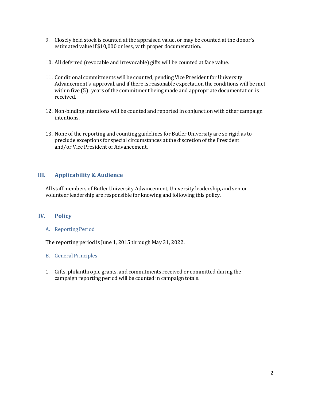- 9. Closely held stock is counted at the appraised value, or may be counted at the donor's estimated value if \$10,000 or less, with proper documentation.
- 10. All deferred (revocable and irrevocable) gifts will be counted at face value.
- 11. Conditional commitments will be counted, pending Vice President for University Advancement's approval, and if there is reasonable expectation the conditions will be met within five (5) years of the commitment being made and appropriate documentation is received.
- 12. Non-binding intentions will be counted and reported in conjunction with other campaign intentions.
- 13. None of the reporting and counting guidelines for Butler University are so rigid as to preclude exceptions for special circumstances at the discretion of the President and/or Vice President of Advancement.

## **III. Applicability & Audience**

All staff members of Butler University Advancement, University leadership, and senior volunteer leadership are responsible for knowing and following this policy.

### **IV. Policy**

#### A. Reporting Period

The reporting period is June 1, 2015 through May 31, 2022.

#### B. General Principles

1. Gifts, philanthropic grants, and commitments received or committed during the campaign reporting period will be counted in campaign totals.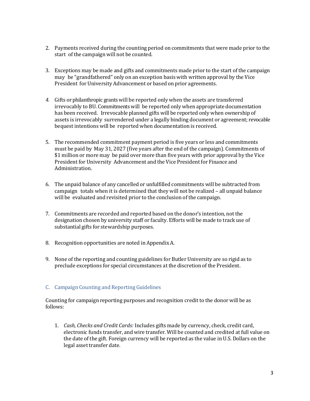- 2. Payments received during the counting period on commitments that were made prior to the start of the campaign will not be counted.
- 3. Exceptions may be made and gifts and commitments made prior to the start of the campaign may be "grandfathered" only on an exception basis with written approval by the Vice President for University Advancement or based on prior agreements.
- *4.* Gifts or philanthropic grants will be reported only when the assets are transferred irrevocably to BU. Commitments will be reported only when appropriate documentation has been received. Irrevocable planned gifts will be reported only when ownership of assets is irrevocably surrendered under a legally binding document or agreement; revocable bequest intentions will be reported when documentation is received.
- 5. The recommended commitment payment period is five years or less and commitments must be paid by May 31, 2027 (five years after the end of the campaign). Commitments of \$1 million or more may be paid over more than five years with prior approval by the Vice President for University Advancement and the Vice President for Finance and Administration.
- 6. The unpaid balance of any cancelled or unfulfilled commitments will be subtracted from campaign totals when it is determined that they will not be realized – all unpaid balance will be evaluated and revisited prior to the conclusion of the campaign.
- 7. Commitments are recorded and reported based on the donor's intention, not the designation chosen by university staff or faculty. Efforts will be made to track use of substantial gifts for stewardship purposes.
- 8. Recognition opportunities are noted in Appendix A.
- 9. None of the reporting and counting guidelines for Butler University are so rigid as to preclude exceptions for special circumstances at the discretion of the President.

### C. Campaign Counting and Reporting Guidelines

Counting for campaign reporting purposes and recognition credit to the donor will be as follows:

1. *Cash, Checks and Credit Cards:* Includes gifts made by currency, check, credit card, electronic funds transfer, and wire transfer. Will be counted and credited at full value on the date of the gift. Foreign currency will be reported as the value in U.S. Dollars on the legal asset transfer date.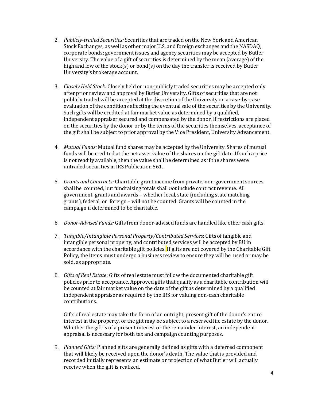- 2. *Publicly-traded Securities:* Securities that are traded on the New York and American Stock Exchanges, as well as other major U.S. and foreign exchanges and the NASDAQ; corporate bonds; government issues and agency securities may be accepted by Butler University. The value of a gift of securities is determined by the mean (average) of the high and low of the stock(s) or bond(s) on the day the transfer is received by Butler University's brokerage account.
- 3. *Closely Held Stock:* Closely held or non-publicly traded securities may be accepted only after prior review and approval by Butler University. Gifts of securities that are not publicly traded will be accepted at the discretion of the University on a case-by-case evaluation of the conditions affecting the eventual sale of the securities by the University. Such gifts will be credited at fair market value as determined by a qualified, independent appraiser secured and compensated by the donor. If restrictions are placed on the securities by the donor or by the terms of the securities themselves, acceptance of the gift shall be subject to prior approval by the Vice President, University Advancement.
- 4. *Mutual Funds:* Mutual fund shares may be accepted by the University. Shares of mutual funds will be credited at the net asset value of the shares on the gift date. If such a price is not readily available, then the value shall be determined as if the shares were untraded securities in IRS Publication 561.
- 5. *Grants and Contracts:* Charitable grant income from private, non-government sources shall be counted, but fundraising totals shall *not* include contract revenue. All government grants and awards – whether local, state (including state matching grants), federal, or foreign – will not be counted. Grants will be counted in the campaign if determined to be charitable.
- 6. *Donor-Advised Funds:* Gifts from donor-advised funds are handled like other cash gifts.
- 7. *Tangible/Intangible Personal Property/Contributed Services*: Gifts oftangible and intangible personal property, and contributed services will be accepted by BU in accordance with the charitable gift policies. If gifts are not covered by the Charitable Gift Policy, the items must undergo a business review to ensure they will be used or may be sold, as appropriate.
- 8. *Gifts of Real Estate*: Gifts of real estate must follow the documented charitable gift policies prior to acceptance. Approved gifts that qualify as a charitable contribution will be counted at fair market value on the date of the gift as determined by a qualified independent appraiser as required by the IRS for valuing non-cash charitable contributions.

Gifts of real estate may take the form of an outright, present gift of the donor's entire interest in the property, or the gift may be subject to a reserved life estate by the donor. Whether the gift is of a present interest or the remainder interest, an independent appraisal is necessary for both tax and campaign counting purposes.

9. *Planned Gifts:* Planned gifts are generally defined as gifts with a deferred component that will likely be received upon the donor's death. The value that is provided and recorded initially represents an estimate or projection of what Butler will actually receive when the gift is realized.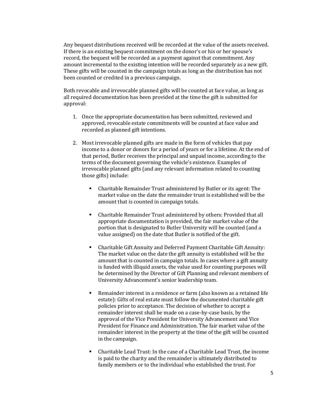Any bequest distributions received will be recorded at the value of the assets received. If there is an existing bequest commitment on the donor's or his or her spouse's record, the bequest will be recorded as a payment against that commitment. Any amount incremental to the existing intention will be recorded separately as a new gift. These gifts will be counted in the campaign totals as long as the distribution has not been counted or credited in a previous campaign.

Both revocable and irrevocable planned gifts will be counted at face value, as long as all required documentation has been provided at the time the gift is submitted for approval:

- 1. Once the appropriate documentation has been submitted, reviewed and approved, revocable estate commitments will be counted at face value and recorded as planned gift intentions.
- 2. Most irrevocable planned gifts are made in the form of vehicles that pay income to a donor or donors for a period of years or for a lifetime. At the end of that period, Butler receives the principal and unpaid income, according to the terms of the document governing the vehicle's existence. Examples of irrevocable planned gifts (and any relevant information related to counting those gifts) include:
	- Charitable Remainder Trust administered by Butler or its agent: The market value on the date the remainder trust is established will be the amount that is counted in campaign totals.
	- Charitable Remainder Trust administered by others: Provided that all appropriate documentation is provided, the fair market value of the portion that is designated to Butler University will be counted (and a value assigned) on the date that Butler is notified of the gift.
	- Charitable Gift Annuity and Deferred Payment Charitable Gift Annuity: The market value on the date the gift annuity is established will be the amount that is counted in campaign totals. In cases where a gift annuity is funded with illiquid assets, the value used for counting purposes will be determined by the Director of Gift Planning and relevant members of University Advancement's senior leadership team.
	- Remainder interest in a residence or farm (also known as a retained life estate): Gifts of real estate must follow the documented charitable gift policies prior to acceptance. The decision of whether to accept a remainder interest shall be made on a case-by-case basis, by the approval of the Vice President for University Advancement and Vice President for Finance and Administration. The fair market value of the remainder interest in the property at the time of the gift will be counted in the campaign.
	- Charitable Lead Trust: In the case of a Charitable Lead Trust, the income is paid to the charity and the remainder is ultimately distributed to family members or to the individual who established the trust. For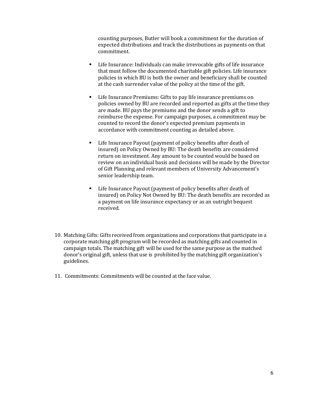counting purposes, Butler will book a commitment for the duration of expected distributions and track the distributions as payments on that commitment.

- Life Insurance: Individuals can make irrevocable gifts of life insurance that must follow the documented charitable gift policies. Life insurance policies in which BU is both the owner and beneficiary shall be counted at the cash surrender value of the policy at the time of the gift.
- Life Insurance Premiums: Gifts to pay life insurance premiums on policies owned by BU are recorded and reported as gifts at the time they are made. BU pays the premiums and the donor sends a gift to reimburse the expense. For campaign purposes, a commitment may be counted to record the donor's expected premium payments in accordance with commitment counting as detailed above.
- Life Insurance Payout (payment of policy benefits after death of insured) on Policy Owned by BU: The death benefits are considered return on investment. Any amount to be counted would be based on review on an individual basis and decisions will be made by the Director of Gift Planning and relevant members of University Advancement's senior leadership team.
- Life Insurance Payout (payment of policy benefits after death of insured) on Policy Not Owned by BU: The death benefits are recorded as a payment on life insurance expectancy or as an outright bequest received.
- 10. Matching Gifts: Gifts received from organizations and corporations that participate in a corporate matching gift program will be recorded as matching gifts and counted in campaign totals. The matching gift will be used for the same purpose as the matched donor's original gift, unless that use is prohibited by the matching gift organization's guidelines.
- 11. Commitments: Commitments will be counted at the face value.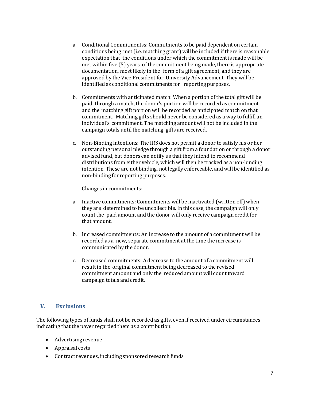- a. Conditional Commitmentss: Commitments to be paid dependent on certain conditions being met(i.e. matching grant) will be included if there is reasonable expectation that the conditions under which the commitment is made will be met within five (5) years of the commitment being made, there is appropriate documentation, most likely in the form of a gift agreement, and they are approved by the Vice President for University Advancement. They will be identified as conditional commitments for reporting purposes.
- b. Commitments with anticipated match: When a portion of the total gift will be paid through a match, the donor's portion will be recorded as commitment and the matching gift portion will be recorded as anticipated match on that commitment. Matching gifts should never be considered as a way to fulfill an individual's commitment. The matching amount will not be included in the campaign totals until the matching gifts are received.
- c. Non-Binding Intentions: The IRS does not permit a donor to satisfy his or her outstanding personal pledge through a gift from a foundation or through a donor advised fund, but donors can notify us that they intend to recommend distributions from either vehicle, which will then be tracked as a non-binding intention. These are not binding, not legally enforceable, and will be identified as non-binding for reporting purposes.

Changes in commitments:

- a. Inactive commitments: Commitments will be inactivated (written off) when they are determined to be uncollectible. In this case, the campaign will only count the paid amount and the donor will only receive campaign credit for that amount.
- b. Increased commitments: An increase to the amount of a commitment will be recorded as a new, separate commitment at the time the increase is communicated by the donor.
- c. Decreased commitments: A decrease to the amount of a commitment will result in the original commitment being decreased to the revised commitment amount and only the reduced amount will count toward campaign totals and credit.

### **V. Exclusions**

The following types of funds shall not be recorded as gifts, even if received under circumstances indicating that the payer regarded them as a contribution:

- Advertising revenue
- Appraisal costs
- Contract revenues, including sponsored research funds